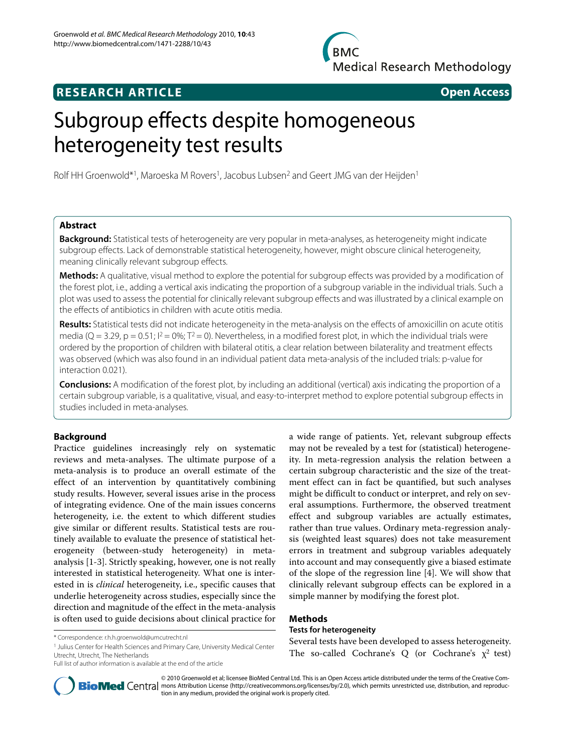

## **RESEARCH ARTICLE Open Access**

# Subgroup effects despite homogeneous heterogeneity test results

Rolf HH Groenwold\*1, Maroeska M Rovers1, Jacobus Lubsen<sup>2</sup> and Geert JMG van der Heijden<sup>1</sup>

## **Abstract**

**Background:** Statistical tests of heterogeneity are very popular in meta-analyses, as heterogeneity might indicate subgroup effects. Lack of demonstrable statistical heterogeneity, however, might obscure clinical heterogeneity, meaning clinically relevant subgroup effects.

**Methods:** A qualitative, visual method to explore the potential for subgroup effects was provided by a modification of the forest plot, i.e., adding a vertical axis indicating the proportion of a subgroup variable in the individual trials. Such a plot was used to assess the potential for clinically relevant subgroup effects and was illustrated by a clinical example on the effects of antibiotics in children with acute otitis media.

**Results:** Statistical tests did not indicate heterogeneity in the meta-analysis on the effects of amoxicillin on acute otitis media (Q = 3.29, p = 0.51;  $I^2 = 0$ %;  $T^2 = 0$ ). Nevertheless, in a modified forest plot, in which the individual trials were ordered by the proportion of children with bilateral otitis, a clear relation between bilaterality and treatment effects was observed (which was also found in an individual patient data meta-analysis of the included trials: p-value for interaction 0.021).

**Conclusions:** A modification of the forest plot, by including an additional (vertical) axis indicating the proportion of a certain subgroup variable, is a qualitative, visual, and easy-to-interpret method to explore potential subgroup effects in studies included in meta-analyses.

## **Background**

Practice guidelines increasingly rely on systematic reviews and meta-analyses. The ultimate purpose of a meta-analysis is to produce an overall estimate of the effect of an intervention by quantitatively combining study results. However, several issues arise in the process of integrating evidence. One of the main issues concerns heterogeneity, i.e. the extent to which different studies give similar or different results. Statistical tests are routinely available to evaluate the presence of statistical heterogeneity (between-study heterogeneity) in metaanalysis [[1](#page-3-0)[-3](#page-3-1)]. Strictly speaking, however, one is not really interested in statistical heterogeneity. What one is interested in is *clinical* heterogeneity, i.e., specific causes that underlie heterogeneity across studies, especially since the direction and magnitude of the effect in the meta-analysis is often used to guide decisions about clinical practice for

1 Julius Center for Health Sciences and Primary Care, University Medical Center Utrecht, Utrecht, The Netherlands

Full list of author information is available at the end of the article

a wide range of patients. Yet, relevant subgroup effects may not be revealed by a test for (statistical) heterogeneity. In meta-regression analysis the relation between a certain subgroup characteristic and the size of the treatment effect can in fact be quantified, but such analyses might be difficult to conduct or interpret, and rely on several assumptions. Furthermore, the observed treatment effect and subgroup variables are actually estimates, rather than true values. Ordinary meta-regression analysis (weighted least squares) does not take measurement errors in treatment and subgroup variables adequately into account and may consequently give a biased estimate of the slope of the regression line [\[4\]](#page-4-0). We will show that clinically relevant subgroup effects can be explored in a simple manner by modifying the forest plot.

## **Methods**

## **Tests for heterogeneity**

Several tests have been developed to assess heterogeneity. The so-called Cochrane's Q (or Cochrane's  $\chi^2$  test)



© 2010 Groenwold et al; licensee BioMed Central Ltd. This is an Open Access article distributed under the terms of the Creative Com-**BioMed** Central mons Attribution License (http://creativecommons.org/licenses/by/2.0), which permits unrestricted use, distribution, and reproduction in any medium, provided the original work is properly cited.

<sup>\*</sup> Correspondence: r.h.h.groenwold@umcutrecht.nl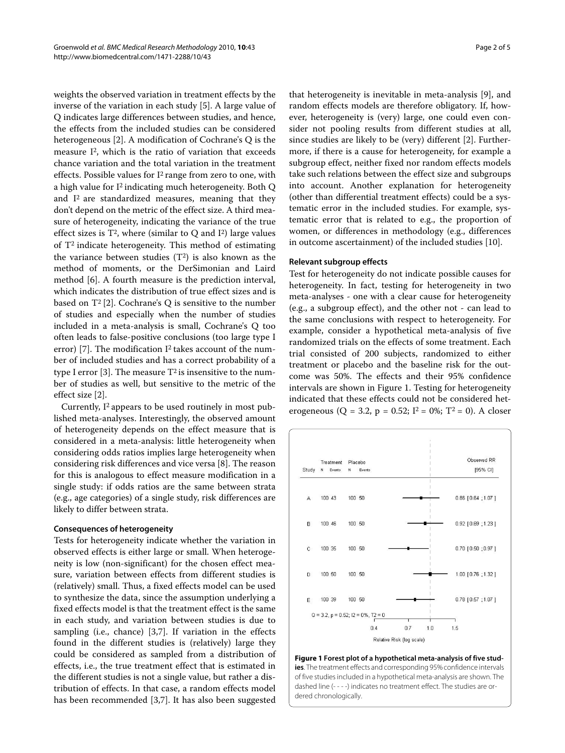weights the observed variation in treatment effects by the inverse of the variation in each study [[5](#page-4-1)]. A large value of Q indicates large differences between studies, and hence, the effects from the included studies can be considered heterogeneous [\[2](#page-3-2)]. A modification of Cochrane's Q is the measure I2, which is the ratio of variation that exceeds chance variation and the total variation in the treatment effects. Possible values for I2 range from zero to one, with a high value for I2 indicating much heterogeneity. Both Q and  $I<sup>2</sup>$  are standardized measures, meaning that they don't depend on the metric of the effect size. A third measure of heterogeneity, indicating the variance of the true effect sizes is  $T^2$ , where (similar to Q and  $I^2$ ) large values of T2 indicate heterogeneity. This method of estimating the variance between studies  $(T^2)$  is also known as the method of moments, or the DerSimonian and Laird method [[6\]](#page-4-2). A fourth measure is the prediction interval, which indicates the distribution of true effect sizes and is based on T2 [[2\]](#page-3-2). Cochrane's Q is sensitive to the number of studies and especially when the number of studies included in a meta-analysis is small, Cochrane's Q too often leads to false-positive conclusions (too large type I error) [[7\]](#page-4-3). The modification I<sup>2</sup> takes account of the number of included studies and has a correct probability of a type I error [\[3](#page-3-1)]. The measure  $T^2$  is insensitive to the number of studies as well, but sensitive to the metric of the effect size [\[2](#page-3-2)].

Currently, I2 appears to be used routinely in most published meta-analyses. Interestingly, the observed amount of heterogeneity depends on the effect measure that is considered in a meta-analysis: little heterogeneity when considering odds ratios implies large heterogeneity when considering risk differences and vice versa [\[8](#page-4-4)]. The reason for this is analogous to effect measure modification in a single study: if odds ratios are the same between strata (e.g., age categories) of a single study, risk differences are likely to differ between strata.

## **Consequences of heterogeneity**

Tests for heterogeneity indicate whether the variation in observed effects is either large or small. When heterogeneity is low (non-significant) for the chosen effect measure, variation between effects from different studies is (relatively) small. Thus, a fixed effects model can be used to synthesize the data, since the assumption underlying a fixed effects model is that the treatment effect is the same in each study, and variation between studies is due to sampling (i.e., chance) [\[3](#page-3-1),[7\]](#page-4-3). If variation in the effects found in the different studies is (relatively) large they could be considered as sampled from a distribution of effects, i.e., the true treatment effect that is estimated in the different studies is not a single value, but rather a distribution of effects. In that case, a random effects model has been recommended [[3,](#page-3-1)[7\]](#page-4-3). It has also been suggested

that heterogeneity is inevitable in meta-analysis [[9\]](#page-4-5), and random effects models are therefore obligatory. If, however, heterogeneity is (very) large, one could even consider not pooling results from different studies at all, since studies are likely to be (very) different [\[2](#page-3-2)]. Furthermore, if there is a cause for heterogeneity, for example a subgroup effect, neither fixed nor random effects models take such relations between the effect size and subgroups into account. Another explanation for heterogeneity (other than differential treatment effects) could be a systematic error in the included studies. For example, systematic error that is related to e.g., the proportion of women, or differences in methodology (e.g., differences in outcome ascertainment) of the included studies [[10](#page-4-6)].

## **Relevant subgroup effects**

Test for heterogeneity do not indicate possible causes for heterogeneity. In fact, testing for heterogeneity in two meta-analyses - one with a clear cause for heterogeneity (e.g., a subgroup effect), and the other not - can lead to the same conclusions with respect to heterogeneity. For example, consider a hypothetical meta-analysis of five randomized trials on the effects of some treatment. Each trial consisted of 200 subjects, randomized to either treatment or placebo and the baseline risk for the outcome was 50%. The effects and their 95% confidence intervals are shown in Figure [1](#page-1-0). Testing for heterogeneity indicated that these effects could not be considered heterogeneous (Q = 3.2, p = 0.52;  $I^2 = 0\%$ ;  $T^2 = 0$ ). A closer

<span id="page-1-0"></span>

**Figure 1 Forest plot of a hypothetical meta-analysis of five studies**. The treatment effects and corresponding 95% confidence intervals of five studies included in a hypothetical meta-analysis are shown. The dashed line (- - - -) indicates no treatment effect. The studies are ordered chronologically.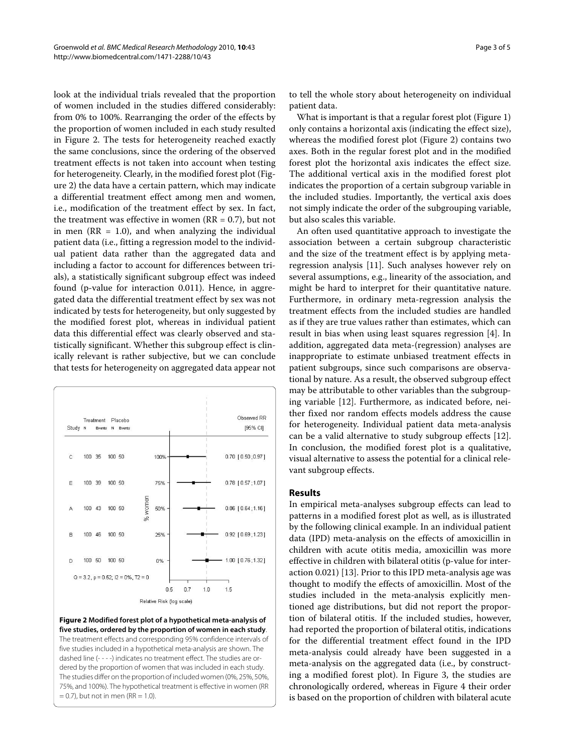look at the individual trials revealed that the proportion of women included in the studies differed considerably: from 0% to 100%. Rearranging the order of the effects by the proportion of women included in each study resulted in Figure [2.](#page-2-0) The tests for heterogeneity reached exactly the same conclusions, since the ordering of the observed treatment effects is not taken into account when testing for heterogeneity. Clearly, in the modified forest plot (Figure [2](#page-2-0)) the data have a certain pattern, which may indicate a differential treatment effect among men and women, i.e., modification of the treatment effect by sex. In fact, the treatment was effective in women ( $RR = 0.7$ ), but not in men  $(RR = 1.0)$ , and when analyzing the individual patient data (i.e., fitting a regression model to the individual patient data rather than the aggregated data and including a factor to account for differences between trials), a statistically significant subgroup effect was indeed found (p-value for interaction 0.011). Hence, in aggregated data the differential treatment effect by sex was not indicated by tests for heterogeneity, but only suggested by the modified forest plot, whereas in individual patient data this differential effect was clearly observed and statistically significant. Whether this subgroup effect is clinically relevant is rather subjective, but we can conclude that tests for heterogeneity on aggregated data appear not

<span id="page-2-0"></span>

**Figure 2 Modified forest plot of a hypothetical meta-analysis of five studies, ordered by the proportion of women in each study**. The treatment effects and corresponding 95% confidence intervals of five studies included in a hypothetical meta-analysis are shown. The dashed line (- - - -) indicates no treatment effect. The studies are ordered by the proportion of women that was included in each study. The studies differ on the proportion of included women (0%, 25%, 50%, 75%, and 100%). The hypothetical treatment is effective in women (RR  $= 0.7$ ), but not in men (RR  $= 1.0$ ).

to tell the whole story about heterogeneity on individual patient data.

What is important is that a regular forest plot (Figure [1](#page-1-0)) only contains a horizontal axis (indicating the effect size), whereas the modified forest plot (Figure [2\)](#page-2-0) contains two axes. Both in the regular forest plot and in the modified forest plot the horizontal axis indicates the effect size. The additional vertical axis in the modified forest plot indicates the proportion of a certain subgroup variable in the included studies. Importantly, the vertical axis does not simply indicate the order of the subgrouping variable, but also scales this variable.

An often used quantitative approach to investigate the association between a certain subgroup characteristic and the size of the treatment effect is by applying metaregression analysis [[11](#page-4-7)]. Such analyses however rely on several assumptions, e.g., linearity of the association, and might be hard to interpret for their quantitative nature. Furthermore, in ordinary meta-regression analysis the treatment effects from the included studies are handled as if they are true values rather than estimates, which can result in bias when using least squares regression [\[4](#page-4-0)]. In addition, aggregated data meta-(regression) analyses are inappropriate to estimate unbiased treatment effects in patient subgroups, since such comparisons are observational by nature. As a result, the observed subgroup effect may be attributable to other variables than the subgrouping variable [\[12\]](#page-4-8). Furthermore, as indicated before, neither fixed nor random effects models address the cause for heterogeneity. Individual patient data meta-analysis can be a valid alternative to study subgroup effects [\[12](#page-4-8)]. In conclusion, the modified forest plot is a qualitative, visual alternative to assess the potential for a clinical relevant subgroup effects.

## **Results**

In empirical meta-analyses subgroup effects can lead to patterns in a modified forest plot as well, as is illustrated by the following clinical example. In an individual patient data (IPD) meta-analysis on the effects of amoxicillin in children with acute otitis media, amoxicillin was more effective in children with bilateral otitis (p-value for interaction 0.021) [[13\]](#page-4-9). Prior to this IPD meta-analysis age was thought to modify the effects of amoxicillin. Most of the studies included in the meta-analysis explicitly mentioned age distributions, but did not report the proportion of bilateral otitis. If the included studies, however, had reported the proportion of bilateral otitis, indications for the differential treatment effect found in the IPD meta-analysis could already have been suggested in a meta-analysis on the aggregated data (i.e., by constructing a modified forest plot). In Figure [3,](#page-3-3) the studies are chronologically ordered, whereas in Figure [4](#page-3-4) their order is based on the proportion of children with bilateral acute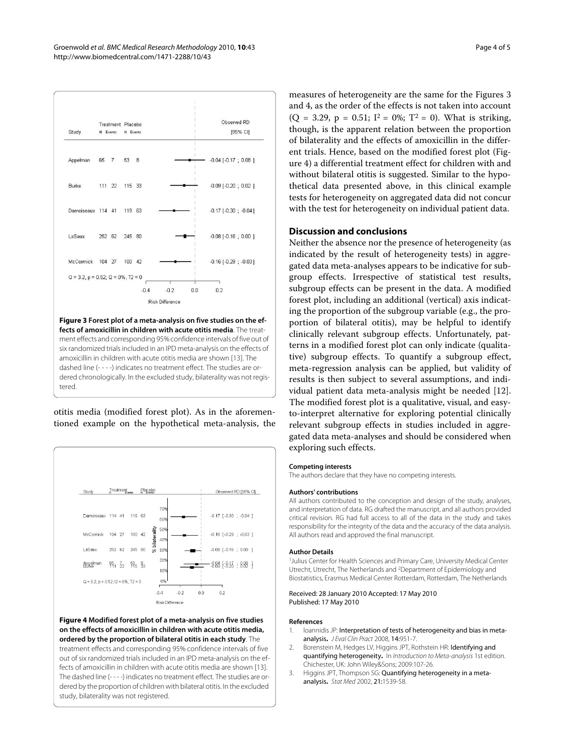<span id="page-3-3"></span>

**Figure 3 Forest plot of a meta-analysis on five studies on the effects of amoxicillin in children with acute otitis media**. The treatment effects and corresponding 95% confidence intervals of five out of six randomized trials included in an IPD meta-analysis on the effects of amoxicillin in children with acute otitis media are shown [[13\]](#page-4-9). The dashed line (- - - -) indicates no treatment effect. The studies are ordered chronologically. In the excluded study, bilaterality was not registered.

otitis media (modified forest plot). As in the aforementioned example on the hypothetical meta-analysis, the

<span id="page-3-4"></span>

## **Figure 4 Modified forest plot of a meta-analysis on five studies on the effects of amoxicillin in children with acute otitis media, ordered by the proportion of bilateral otitis in each study**. The

treatment effects and corresponding 95% confidence intervals of five out of six randomized trials included in an IPD meta-analysis on the effects of amoxicillin in children with acute otitis media are shown [[13](#page-4-9)]. The dashed line (- - - -) indicates no treatment effect. The studies are ordered by the proportion of children with bilateral otitis. In the excluded study, bilaterality was not registered.

measures of heterogeneity are the same for the Figures [3](#page-3-3) and [4](#page-3-4), as the order of the effects is not taken into account (Q = 3.29, p = 0.51;  $I^2 = 0\%$ ;  $T^2 = 0$ ). What is striking, though, is the apparent relation between the proportion of bilaterality and the effects of amoxicillin in the different trials. Hence, based on the modified forest plot (Figure [4](#page-3-4)) a differential treatment effect for children with and without bilateral otitis is suggested. Similar to the hypothetical data presented above, in this clinical example tests for heterogeneity on aggregated data did not concur with the test for heterogeneity on individual patient data.

## **Discussion and conclusions**

Neither the absence nor the presence of heterogeneity (as indicated by the result of heterogeneity tests) in aggregated data meta-analyses appears to be indicative for subgroup effects. Irrespective of statistical test results, subgroup effects can be present in the data. A modified forest plot, including an additional (vertical) axis indicating the proportion of the subgroup variable (e.g., the proportion of bilateral otitis), may be helpful to identify clinically relevant subgroup effects. Unfortunately, patterns in a modified forest plot can only indicate (qualitative) subgroup effects. To quantify a subgroup effect, meta-regression analysis can be applied, but validity of results is then subject to several assumptions, and individual patient data meta-analysis might be needed [\[12](#page-4-8)]. The modified forest plot is a qualitative, visual, and easyto-interpret alternative for exploring potential clinically relevant subgroup effects in studies included in aggregated data meta-analyses and should be considered when exploring such effects.

#### **Competing interests**

The authors declare that they have no competing interests.

#### **Authors' contributions**

All authors contributed to the conception and design of the study, analyses, and interpretation of data. RG drafted the manuscript, and all authors provided critical revision. RG had full access to all of the data in the study and takes responsibility for the integrity of the data and the accuracy of the data analysis. All authors read and approved the final manuscript.

#### **Author Details**

1Julius Center for Health Sciences and Primary Care, University Medical Center Utrecht, Utrecht, The Netherlands and 2Department of Epidemiology and Biostatistics, Erasmus Medical Center Rotterdam, Rotterdam, The Netherlands

#### Received: 28 January 2010 Accepted: 17 May 2010 Published: 17 May 2010

#### **References**

- <span id="page-3-0"></span>1. Ioannidis JP: Interpretation of tests of heterogeneity and bias in metaanalysis**.** J Eval Clin Pract 2008, 14:951-7.
- <span id="page-3-2"></span>2. Borenstein M, Hedges LV, Higgins JPT, Rothstein HR: Identifying and quantifying heterogeneity**.** In Introduction to Meta-analysis 1st edition. Chichester, UK: John Wiley&Sons; 2009:107-26.
- <span id="page-3-1"></span>3. Higgins JPT, Thompson SG: Quantifying heterogeneity in a metaanalysis**.** Stat Med 2002, 21:1539-58.